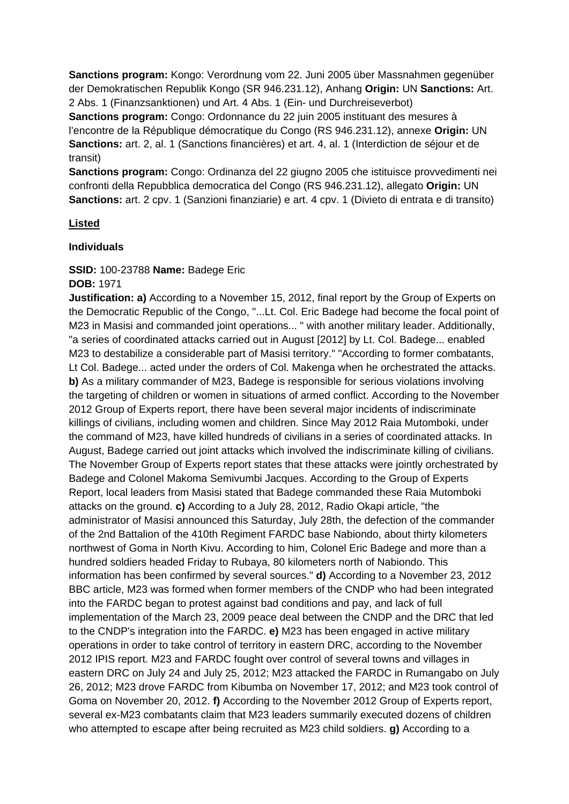**Sanctions program:** Kongo: Verordnung vom 22. Juni 2005 über Massnahmen gegenüber der Demokratischen Republik Kongo (SR 946.231.12), Anhang **Origin:** UN **Sanctions:** Art. 2 Abs. 1 (Finanzsanktionen) und Art. 4 Abs. 1 (Ein- und Durchreiseverbot)

**Sanctions program:** Congo: Ordonnance du 22 juin 2005 instituant des mesures à l'encontre de la République démocratique du Congo (RS 946.231.12), annexe **Origin:** UN **Sanctions:** art. 2, al. 1 (Sanctions financières) et art. 4, al. 1 (Interdiction de séjour et de transit)

**Sanctions program:** Congo: Ordinanza del 22 giugno 2005 che istituisce provvedimenti nei confronti della Repubblica democratica del Congo (RS 946.231.12), allegato **Origin:** UN **Sanctions:** art. 2 cpv. 1 (Sanzioni finanziarie) e art. 4 cpv. 1 (Divieto di entrata e di transito)

# **Listed**

### **Individuals**

# **SSID:** 100-23788 **Name:** Badege Eric

### **DOB:** 1971

**Justification: a)** According to a November 15, 2012, final report by the Group of Experts on the Democratic Republic of the Congo, "...Lt. Col. Eric Badege had become the focal point of M23 in Masisi and commanded joint operations... " with another military leader. Additionally, "a series of coordinated attacks carried out in August [2012] by Lt. Col. Badege... enabled M23 to destabilize a considerable part of Masisi territory." "According to former combatants, Lt Col. Badege... acted under the orders of Col. Makenga when he orchestrated the attacks. **b)** As a military commander of M23, Badege is responsible for serious violations involving the targeting of children or women in situations of armed conflict. According to the November 2012 Group of Experts report, there have been several major incidents of indiscriminate killings of civilians, including women and children. Since May 2012 Raia Mutomboki, under the command of M23, have killed hundreds of civilians in a series of coordinated attacks. In August, Badege carried out joint attacks which involved the indiscriminate killing of civilians. The November Group of Experts report states that these attacks were jointly orchestrated by Badege and Colonel Makoma Semivumbi Jacques. According to the Group of Experts Report, local leaders from Masisi stated that Badege commanded these Raia Mutomboki attacks on the ground. **c)** According to a July 28, 2012, Radio Okapi article, "the administrator of Masisi announced this Saturday, July 28th, the defection of the commander of the 2nd Battalion of the 410th Regiment FARDC base Nabiondo, about thirty kilometers northwest of Goma in North Kivu. According to him, Colonel Eric Badege and more than a hundred soldiers headed Friday to Rubaya, 80 kilometers north of Nabiondo. This information has been confirmed by several sources." **d)** According to a November 23, 2012 BBC article, M23 was formed when former members of the CNDP who had been integrated into the FARDC began to protest against bad conditions and pay, and lack of full implementation of the March 23, 2009 peace deal between the CNDP and the DRC that led to the CNDP's integration into the FARDC. **e)** M23 has been engaged in active military operations in order to take control of territory in eastern DRC, according to the November 2012 IPIS report. M23 and FARDC fought over control of several towns and villages in eastern DRC on July 24 and July 25, 2012; M23 attacked the FARDC in Rumangabo on July 26, 2012; M23 drove FARDC from Kibumba on November 17, 2012; and M23 took control of Goma on November 20, 2012. **f)** According to the November 2012 Group of Experts report, several ex-M23 combatants claim that M23 leaders summarily executed dozens of children who attempted to escape after being recruited as M23 child soldiers. **g)** According to a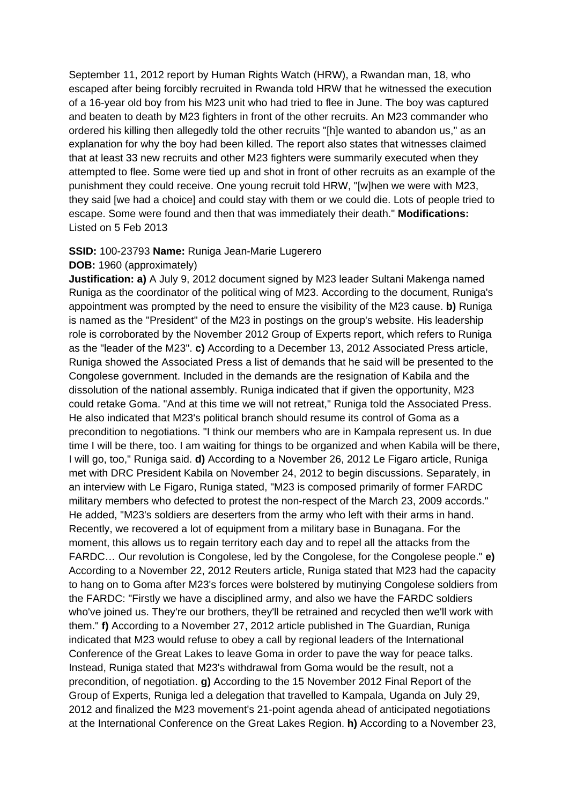September 11, 2012 report by Human Rights Watch (HRW), a Rwandan man, 18, who escaped after being forcibly recruited in Rwanda told HRW that he witnessed the execution of a 16-year old boy from his M23 unit who had tried to flee in June. The boy was captured and beaten to death by M23 fighters in front of the other recruits. An M23 commander who ordered his killing then allegedly told the other recruits "[h]e wanted to abandon us," as an explanation for why the boy had been killed. The report also states that witnesses claimed that at least 33 new recruits and other M23 fighters were summarily executed when they attempted to flee. Some were tied up and shot in front of other recruits as an example of the punishment they could receive. One young recruit told HRW, "[w]hen we were with M23, they said [we had a choice] and could stay with them or we could die. Lots of people tried to escape. Some were found and then that was immediately their death." **Modifications:**  Listed on 5 Feb 2013

### **SSID:** 100-23793 **Name:** Runiga Jean-Marie Lugerero

#### **DOB:** 1960 (approximately)

**Justification: a)** A July 9, 2012 document signed by M23 leader Sultani Makenga named Runiga as the coordinator of the political wing of M23. According to the document, Runiga's appointment was prompted by the need to ensure the visibility of the M23 cause. **b)** Runiga is named as the "President" of the M23 in postings on the group's website. His leadership role is corroborated by the November 2012 Group of Experts report, which refers to Runiga as the "leader of the M23". **c)** According to a December 13, 2012 Associated Press article, Runiga showed the Associated Press a list of demands that he said will be presented to the Congolese government. Included in the demands are the resignation of Kabila and the dissolution of the national assembly. Runiga indicated that if given the opportunity, M23 could retake Goma. "And at this time we will not retreat," Runiga told the Associated Press. He also indicated that M23's political branch should resume its control of Goma as a precondition to negotiations. "I think our members who are in Kampala represent us. In due time I will be there, too. I am waiting for things to be organized and when Kabila will be there, I will go, too," Runiga said. **d)** According to a November 26, 2012 Le Figaro article, Runiga met with DRC President Kabila on November 24, 2012 to begin discussions. Separately, in an interview with Le Figaro, Runiga stated, "M23 is composed primarily of former FARDC military members who defected to protest the non-respect of the March 23, 2009 accords." He added, "M23's soldiers are deserters from the army who left with their arms in hand. Recently, we recovered a lot of equipment from a military base in Bunagana. For the moment, this allows us to regain territory each day and to repel all the attacks from the FARDC… Our revolution is Congolese, led by the Congolese, for the Congolese people." **e)**  According to a November 22, 2012 Reuters article, Runiga stated that M23 had the capacity to hang on to Goma after M23's forces were bolstered by mutinying Congolese soldiers from the FARDC: "Firstly we have a disciplined army, and also we have the FARDC soldiers who've joined us. They're our brothers, they'll be retrained and recycled then we'll work with them." **f)** According to a November 27, 2012 article published in The Guardian, Runiga indicated that M23 would refuse to obey a call by regional leaders of the International Conference of the Great Lakes to leave Goma in order to pave the way for peace talks. Instead, Runiga stated that M23's withdrawal from Goma would be the result, not a precondition, of negotiation. **g)** According to the 15 November 2012 Final Report of the Group of Experts, Runiga led a delegation that travelled to Kampala, Uganda on July 29, 2012 and finalized the M23 movement's 21-point agenda ahead of anticipated negotiations at the International Conference on the Great Lakes Region. **h)** According to a November 23,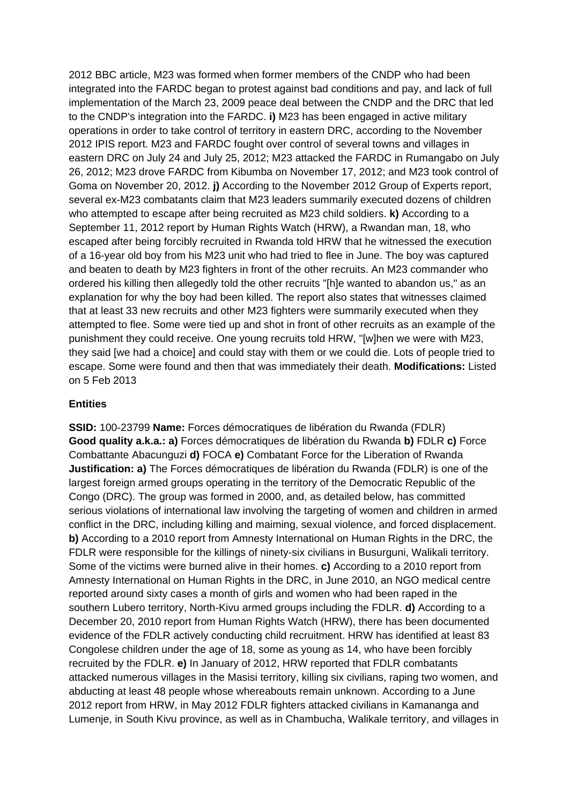2012 BBC article, M23 was formed when former members of the CNDP who had been integrated into the FARDC began to protest against bad conditions and pay, and lack of full implementation of the March 23, 2009 peace deal between the CNDP and the DRC that led to the CNDP's integration into the FARDC. **i)** M23 has been engaged in active military operations in order to take control of territory in eastern DRC, according to the November 2012 IPIS report. M23 and FARDC fought over control of several towns and villages in eastern DRC on July 24 and July 25, 2012; M23 attacked the FARDC in Rumangabo on July 26, 2012; M23 drove FARDC from Kibumba on November 17, 2012; and M23 took control of Goma on November 20, 2012. **j)** According to the November 2012 Group of Experts report, several ex-M23 combatants claim that M23 leaders summarily executed dozens of children who attempted to escape after being recruited as M23 child soldiers. **k)** According to a September 11, 2012 report by Human Rights Watch (HRW), a Rwandan man, 18, who escaped after being forcibly recruited in Rwanda told HRW that he witnessed the execution of a 16-year old boy from his M23 unit who had tried to flee in June. The boy was captured and beaten to death by M23 fighters in front of the other recruits. An M23 commander who ordered his killing then allegedly told the other recruits "[h]e wanted to abandon us," as an explanation for why the boy had been killed. The report also states that witnesses claimed that at least 33 new recruits and other M23 fighters were summarily executed when they attempted to flee. Some were tied up and shot in front of other recruits as an example of the punishment they could receive. One young recruits told HRW, "[w]hen we were with M23, they said [we had a choice] and could stay with them or we could die. Lots of people tried to escape. Some were found and then that was immediately their death. **Modifications:** Listed on 5 Feb 2013

## **Entities**

**SSID:** 100-23799 **Name:** Forces démocratiques de libération du Rwanda (FDLR) **Good quality a.k.a.: a)** Forces démocratiques de libération du Rwanda **b)** FDLR **c)** Force Combattante Abacunguzi **d)** FOCA **e)** Combatant Force for the Liberation of Rwanda **Justification: a)** The Forces démocratiques de libération du Rwanda (FDLR) is one of the largest foreign armed groups operating in the territory of the Democratic Republic of the Congo (DRC). The group was formed in 2000, and, as detailed below, has committed serious violations of international law involving the targeting of women and children in armed conflict in the DRC, including killing and maiming, sexual violence, and forced displacement. **b)** According to a 2010 report from Amnesty International on Human Rights in the DRC, the FDLR were responsible for the killings of ninety-six civilians in Busurguni, Walikali territory. Some of the victims were burned alive in their homes. **c)** According to a 2010 report from Amnesty International on Human Rights in the DRC, in June 2010, an NGO medical centre reported around sixty cases a month of girls and women who had been raped in the southern Lubero territory, North-Kivu armed groups including the FDLR. **d)** According to a December 20, 2010 report from Human Rights Watch (HRW), there has been documented evidence of the FDLR actively conducting child recruitment. HRW has identified at least 83 Congolese children under the age of 18, some as young as 14, who have been forcibly recruited by the FDLR. **e)** In January of 2012, HRW reported that FDLR combatants attacked numerous villages in the Masisi territory, killing six civilians, raping two women, and abducting at least 48 people whose whereabouts remain unknown. According to a June 2012 report from HRW, in May 2012 FDLR fighters attacked civilians in Kamananga and Lumenje, in South Kivu province, as well as in Chambucha, Walikale territory, and villages in